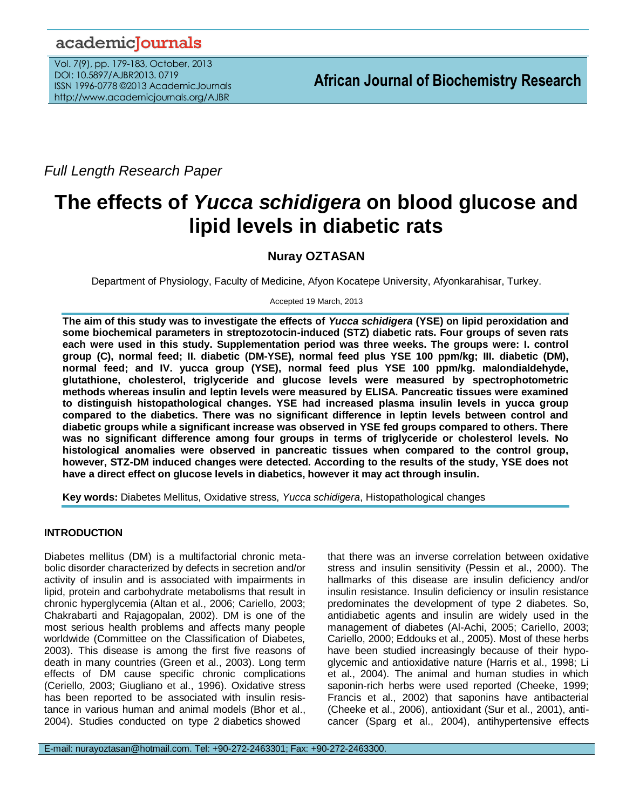# academicJournals

Vol. 7(9), pp. 179-183, October, 2013 DOI: 10.5897/AJBR2013. 0719 ISSN 1996-0778 ©2013 AcademicJournals http://www.academicjournals.org/AJBR

*Full Length Research Paper*

# **The effects of** *Yucca schidigera* **on blood glucose and lipid levels in diabetic rats**

# **Nuray OZTASAN**

Department of Physiology, Faculty of Medicine, Afyon Kocatepe University, Afyonkarahisar, Turkey.

Accepted 19 March, 2013

**The aim of this study was to investigate the effects of** *Yucca schidigera* **(YSE) on lipid peroxidation and some biochemical parameters in streptozotocin-induced (STZ) diabetic rats. Four groups of seven rats each were used in this study. Supplementation period was three weeks. The groups were: I. control group (C), normal feed; II. diabetic (DM-YSE), normal feed plus YSE 100 ppm/kg; III. diabetic (DM), normal feed; and IV. yucca group (YSE), normal feed plus YSE 100 ppm/kg. malondialdehyde, glutathione, cholesterol, triglyceride and glucose levels were measured by spectrophotometric methods whereas insulin and leptin levels were measured by ELISA. Pancreatic tissues were examined to distinguish histopathological changes. YSE had increased plasma insulin levels in yucca group compared to the diabetics. There was no significant difference in leptin levels between control and diabetic groups while a significant increase was observed in YSE fed groups compared to others. There was no significant difference among four groups in terms of triglyceride or cholesterol levels. No histological anomalies were observed in pancreatic tissues when compared to the control group, however, STZ-DM induced changes were detected. According to the results of the study, YSE does not have a direct effect on glucose levels in diabetics, however it may act through insulin.**

**Key words:** Diabetes Mellitus, Oxidative stress, *Yucca schidigera*, Histopathological changes

## **INTRODUCTION**

Diabetes mellitus (DM) is a multifactorial chronic metabolic disorder characterized by defects in secretion and/or activity of insulin and is associated with impairments in lipid, protein and carbohydrate metabolisms that result in chronic hyperglycemia (Altan et al., 2006; Cariello, 2003; Chakrabarti and Rajagopalan, 2002). DM is one of the most serious health problems and affects many people worldwide (Committee on the Classification of Diabetes, 2003). This disease is among the first five reasons of death in many countries (Green et al., 2003). Long term effects of DM cause specific chronic complications (Ceriello, 2003; Giugliano et al., 1996). Oxidative stress has been reported to be associated with insulin resistance in various human and animal models (Bhor et al., 2004). Studies conducted on type 2 diabetics showed

that there was an inverse correlation between oxidative stress and insulin sensitivity (Pessin et al., 2000). The hallmarks of this disease are insulin deficiency and/or insulin resistance. Insulin deficiency or insulin resistance predominates the development of type 2 diabetes. So, antidiabetic agents and insulin are widely used in the management of diabetes (Al-Achi, 2005; Cariello, 2003; Cariello, 2000; Eddouks et al., 2005). Most of these herbs have been studied increasingly because of their hypoglycemic and antioxidative nature (Harris et al., 1998; Li et al., 2004). The animal and human studies in which saponin-rich herbs were used reported (Cheeke, 1999; Francis et al., 2002) that saponins have antibacterial (Cheeke et al., 2006), antioxidant (Sur et al., 2001), anticancer (Sparg et al., 2004), antihypertensive effects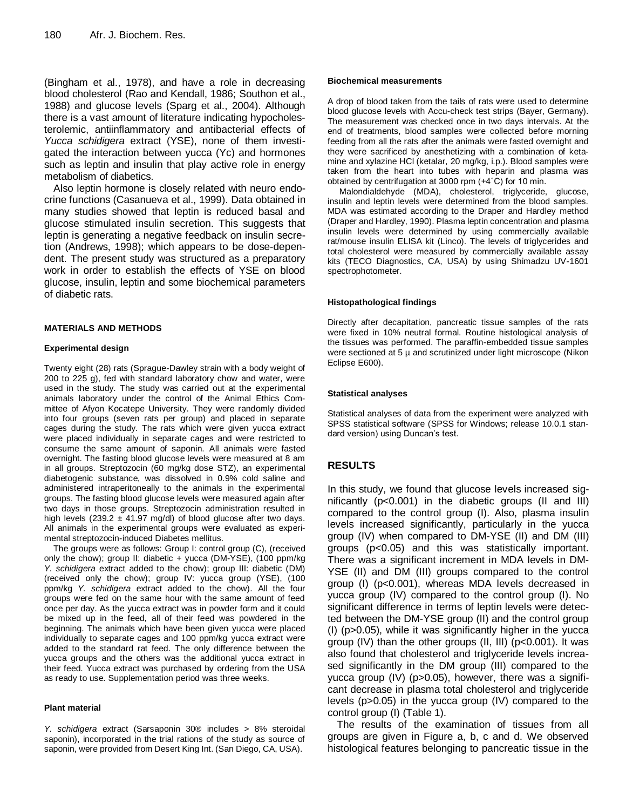(Bingham et al., 1978), and have a role in decreasing blood cholesterol (Rao and Kendall, 1986; Southon et al., 1988) and glucose levels (Sparg et al., 2004). Although there is a vast amount of literature indicating hypocholesterolemic, antiinflammatory and antibacterial effects of *Yucca schidigera* extract (YSE), none of them investigated the interaction between yucca (Yc) and hormones such as leptin and insulin that play active role in energy metabolism of diabetics.

Also leptin hormone is closely related with neuro endocrine functions (Casanueva et al., 1999). Data obtained in many studies showed that leptin is reduced basal and glucose stimulated insulin secretion. This suggests that leptin is generating a negative feedback on insulin secretion (Andrews, 1998); which appears to be dose-dependent. The present study was structured as a preparatory work in order to establish the effects of YSE on blood glucose, insulin, leptin and some biochemical parameters of diabetic rats.

#### **MATERIALS AND METHODS**

#### **Experimental design**

Twenty eight (28) rats (Sprague-Dawley strain with a body weight of 200 to 225 g), fed with standard laboratory chow and water, were used in the study. The study was carried out at the experimental animals laboratory under the control of the Animal Ethics Committee of Afyon Kocatepe University. They were randomly divided into four groups (seven rats per group) and placed in separate cages during the study. The rats which were given yucca extract were placed individually in separate cages and were restricted to consume the same amount of saponin. All animals were fasted overnight. The fasting blood glucose levels were measured at 8 am in all groups. Streptozocin (60 mg/kg dose STZ), an experimental diabetogenic substance, was dissolved in 0.9% cold saline and administered intraperitoneally to the animals in the experimental groups. The fasting blood glucose levels were measured again after two days in those groups. Streptozocin administration resulted in high levels (239.2  $\pm$  41.97 mg/dl) of blood glucose after two days. All animals in the experimental groups were evaluated as experimental streptozocin-induced Diabetes mellitus.

The groups were as follows: Group I: control group (C), (received only the chow); group II: diabetic + yucca (DM-YSE), (100 ppm/kg *Y. schidigera* extract added to the chow); group III: diabetic (DM) (received only the chow); group IV: yucca group (YSE), (100 ppm/kg *Y. schidigera* extract added to the chow). All the four groups were fed on the same hour with the same amount of feed once per day. As the yucca extract was in powder form and it could be mixed up in the feed, all of their feed was powdered in the beginning. The animals which have been given yucca were placed individually to separate cages and 100 ppm/kg yucca extract were added to the standard rat feed. The only difference between the yucca groups and the others was the additional yucca extract in their feed. Yucca extract was purchased by ordering from the USA as ready to use. Supplementation period was three weeks.

#### **Plant material**

*Y. schidigera* extract (Sarsaponin 30® includes > 8% steroidal saponin), incorporated in the trial rations of the study as source of saponin, were provided from Desert King Int. (San Diego, CA, USA).

#### **Biochemical measurements**

A drop of blood taken from the tails of rats were used to determine blood glucose levels with Accu-check test strips (Bayer, Germany). The measurement was checked once in two days intervals. At the end of treatments, blood samples were collected before morning feeding from all the rats after the animals were fasted overnight and they were sacrificed by anesthetizing with a combination of ketamine and xylazine HCl (ketalar, 20 mg/kg, i.p.). Blood samples were taken from the heart into tubes with heparin and plasma was obtained by centrifugation at 3000 rpm (+4˚C) for 10 min.

Malondialdehyde (MDA), cholesterol, triglyceride, glucose, insulin and leptin levels were determined from the blood samples. MDA was estimated according to the Draper and Hardley method (Draper and Hardley, 1990). Plasma leptin concentration and plasma insulin levels were determined by using commercially available rat/mouse insulin ELISA kit (Linco). The levels of triglycerides and total cholesterol were measured by commercially available assay kits (TECO Diagnostics, CA, USA) by using Shimadzu UV-1601 spectrophotometer.

#### **Histopathological findings**

Directly after decapitation, pancreatic tissue samples of the rats were fixed in 10% neutral formal. Routine histological analysis of the tissues was performed. The paraffin-embedded tissue samples were sectioned at  $5 \mu$  and scrutinized under light microscope (Nikon Eclipse E600).

#### **Statistical analyses**

Statistical analyses of data from the experiment were analyzed with SPSS statistical software (SPSS for Windows; release 10.0.1 standard version) using Duncan's test*.*

### **RESULTS**

In this study, we found that glucose levels increased significantly (p<0.001) in the diabetic groups (II and III) compared to the control group (I). Also, plasma insulin levels increased significantly, particularly in the yucca group (IV) when compared to DM-YSE (II) and DM (III) groups (p<0.05) and this was statistically important. There was a significant increment in MDA levels in DM-YSE (II) and DM (III) groups compared to the control group (I) (p<0.001), whereas MDA levels decreased in yucca group (IV) compared to the control group (I). No significant difference in terms of leptin levels were detected between the DM-YSE group (II) and the control group (I) (p>0.05), while it was significantly higher in the yucca group (IV) than the other groups (II, III) (p<0.001). It was also found that cholesterol and triglyceride levels increased significantly in the DM group (III) compared to the yucca group (IV) (p>0.05), however, there was a significant decrease in plasma total cholesterol and triglyceride levels (p>0.05) in the yucca group (IV) compared to the control group (I) (Table 1).

The results of the examination of tissues from all groups are given in Figure a, b, c and d. We observed histological features belonging to pancreatic tissue in the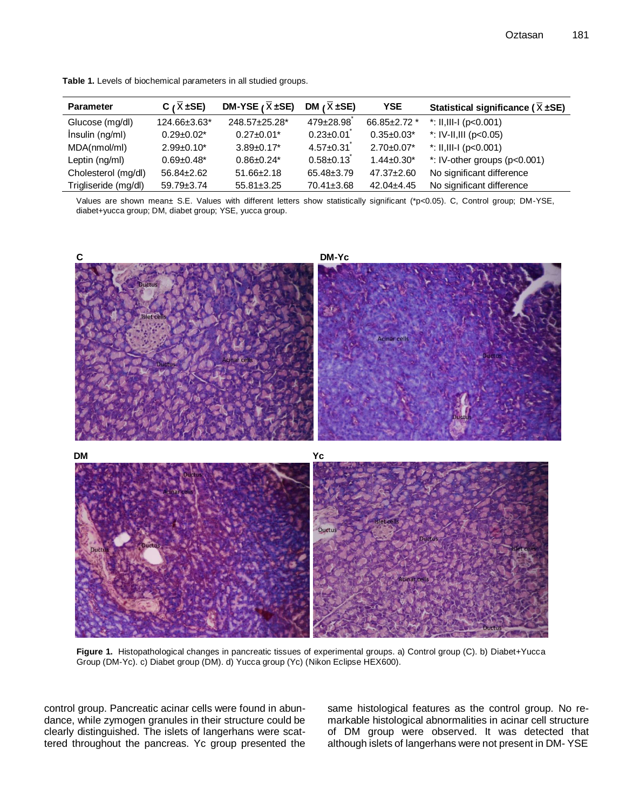| <b>Parameter</b>     | C ( $\overline{X}$ ±SE) | DM-YSE $(X \pm SE)$ | DM $(\overline{X} \pm SE)$ | <b>YSE</b>        | Statistical significance ( $\overline{X}$ ±SE) |
|----------------------|-------------------------|---------------------|----------------------------|-------------------|------------------------------------------------|
| Glucose (mg/dl)      | 124.66±3.63*            | 248.57±25.28*       | 479±28.98                  | 66.85±2.72 *      | *: II,III-I ( $p<0.001$ )                      |
| Insulin (ng/ml)      | $0.29 \pm 0.02^*$       | $0.27 \pm 0.01$ *   | $0.23 \pm 0.01$            | $0.35 \pm 0.03^*$ | *: IV-II,III ( $p<0.05$ )                      |
| MDA(nmol/ml)         | $2.99 \pm 0.10^*$       | $3.89 \pm 0.17^*$   | $4.57 \pm 0.31$            | $2.70 \pm 0.07^*$ | *: II,III-I ( $p<0.001$ )                      |
| Leptin (ng/ml)       | $0.69 \pm 0.48^*$       | $0.86 \pm 0.24*$    | $0.58 \pm 0.13$            | $1.44 \pm 0.30^*$ | *: IV-other groups $(p<0.001)$                 |
| Cholesterol (mg/dl)  | $56.84 \pm 2.62$        | $51.66 \pm 2.18$    | 65.48±3.79                 | $47.37 \pm 2.60$  | No significant difference                      |
| Trigliseride (mg/dl) | 59.79±3.74              | $55.81 \pm 3.25$    | 70.41±3.68                 | $42.04 \pm 4.45$  | No significant difference                      |

**Table 1.** Levels of biochemical parameters in all studied groups.

Values are shown mean± S.E. Values with different letters show statistically significant (\*p<0.05). C, Control group; DM-YSE, diabet+yucca group; DM, diabet group; YSE, yucca group.



Figure 1. Histopathological changes in pancreatic tissues of experimental groups. a) Control group (C). b) Diabet+Yucca Group (DM-Yc). c) Diabet group (DM). d) Yucca group (Yc) (Nikon Eclipse HEX600).

control group. Pancreatic acinar cells were found in abundance, while zymogen granules in their structure could be clearly distinguished. The islets of langerhans were scattered throughout the pancreas. Yc group presented the same histological features as the control group. No remarkable histological abnormalities in acinar cell structure of DM group were observed. It was detected that although islets of langerhans were not present in DM- YSE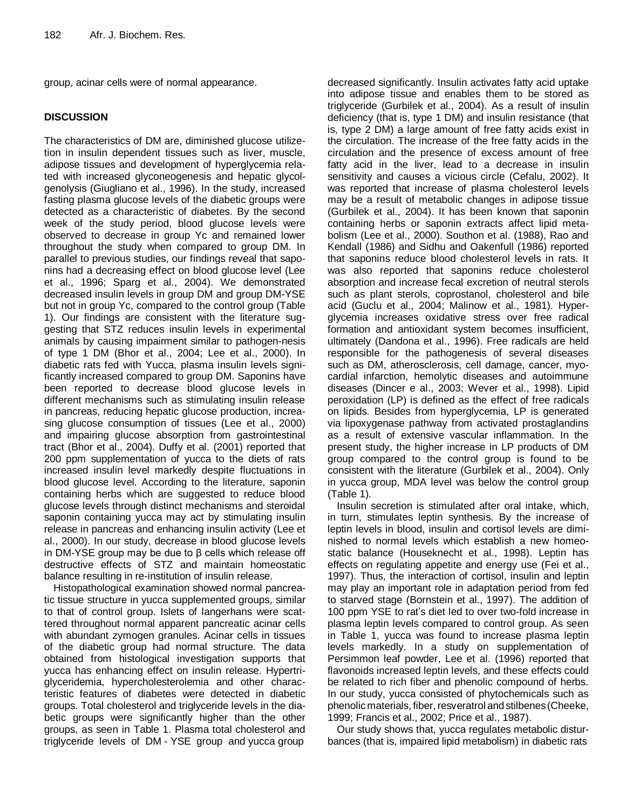group, acinar cells were of normal appearance.

## **DISCUSSION**

The characteristics of DM are, diminished glucose utilizetion in insulin dependent tissues such as liver, muscle, adipose tissues and development of hyperglycemia related with increased glyconeogenesis and hepatic glycolgenolysis (Giugliano et al., 1996). In the study, increased fasting plasma glucose levels of the diabetic groups were detected as a characteristic of diabetes. By the second week of the study period, blood glucose levels were observed to decrease in group Yc and remained lower throughout the study when compared to group DM. In parallel to previous studies, our findings reveal that saponins had a decreasing effect on blood glucose level (Lee et al., 1996; Sparg et al., 2004). We demonstrated decreased insulin levels in group DM and group DM-YSE but not in group Yc, compared to the control group (Table 1). Our findings are consistent with the literature suggesting that STZ reduces insulin levels in experimental animals by causing impairment similar to pathogen-nesis of type 1 DM (Bhor et al., 2004; Lee et al., 2000). In diabetic rats fed with Yucca, plasma insulin levels significantly increased compared to group DM. Saponins have been reported to decrease blood glucose levels in different mechanisms such as stimulating insulin release in pancreas, reducing hepatic glucose production, increasing glucose consumption of tissues (Lee et al., 2000) and impairing glucose absorption from gastrointestinal tract (Bhor et al., 2004). Duffy et al. (2001) reported that 200 ppm supplementation of yucca to the diets of rats increased insulin level markedly despite fluctuations in blood glucose level. According to the literature, saponin containing herbs which are suggested to reduce blood glucose levels through distinct mechanisms and steroidal saponin containing yucca may act by stimulating insulin release in pancreas and enhancing insulin activity (Lee et al., 2000). In our study, decrease in blood glucose levels in DM-YSE group may be due to β cells which release off destructive effects of STZ and maintain homeostatic balance resulting in re-institution of insulin release.

Histopathological examination showed normal pancreatic tissue structure in yucca supplemented groups, similar to that of control group. Islets of langerhans were scattered throughout normal apparent pancreatic acinar cells with abundant zymogen granules. Acinar cells in tissues of the diabetic group had normal structure. The data obtained from histological investigation supports that yucca has enhancing effect on insulin release. Hypertriglyceridemia, hypercholesterolemia and other characteristic features of diabetes were detected in diabetic groups. Total cholesterol and triglyceride levels in the diabetic groups were significantly higher than the other groups, as seen in Table 1. Plasma total cholesterol and triglyceride levels of DM - YSE group and yucca group

decreased significantly. Insulin activates fatty acid uptake into adipose tissue and enables them to be stored as triglyceride (Gurbilek et al., 2004). As a result of insulin deficiency (that is, type 1 DM) and insulin resistance (that is, type 2 DM) a large amount of free fatty acids exist in the circulation. The increase of the free fatty acids in the circulation and the presence of excess amount of free fatty acid in the liver, lead to a decrease in insulin sensitivity and causes a vicious circle (Cefalu, 2002). It was reported that increase of plasma cholesterol levels may be a result of metabolic changes in adipose tissue (Gurbilek et al., 2004). It has been known that saponin containing herbs or saponin extracts affect lipid metabolism (Lee et al., 2000). Southon et al. (1988), Rao and Kendall (1986) and Sidhu and Oakenfull (1986) reported that saponins reduce blood cholesterol levels in rats. It was also reported that saponins reduce cholesterol absorption and increase fecal excretion of neutral sterols such as plant sterols, coprostanol, cholesterol and bile acid (Guclu et al., 2004; Malinow et al., 1981). Hyperglycemia increases oxidative stress over free radical formation and antioxidant system becomes insufficient, ultimately (Dandona et al., 1996). Free radicals are held responsible for the pathogenesis of several diseases such as DM, atherosclerosis, cell damage, cancer, myocardial infarction, hemolytic diseases and autoimmune diseases (Dincer e al., 2003; Wever et al., 1998). Lipid peroxidation (LP) is defined as the effect of free radicals on lipids. Besides from hyperglycemia, LP is generated via lipoxygenase pathway from activated prostaglandins as a result of extensive vascular inflammation. In the present study, the higher increase in LP products of DM group compared to the control group is found to be consistent with the literature (Gurbilek et al., 2004). Only in yucca group, MDA level was below the control group (Table 1).

Insulin secretion is stimulated after oral intake, which, in turn, stimulates leptin synthesis. By the increase of leptin levels in blood, insulin and cortisol levels are diminished to normal levels which establish a new homeostatic balance (Houseknecht et al., 1998). Leptin has effects on regulating appetite and energy use (Fei et al., 1997). Thus, the interaction of cortisol, insulin and leptin may play an important role in adaptation period from fed to starved stage (Bornstein et al., 1997). The addition of 100 ppm YSE to rat's diet led to over two-fold increase in plasma leptin levels compared to control group. As seen in Table 1, yucca was found to increase plasma leptin levels markedly. In a study on supplementation of Persimmon leaf powder, Lee et al. (1996) reported that flavonoids increased leptin levels, and these effects could be related to rich fiber and phenolic compound of herbs. In our study, yucca consisted of phytochemicals such as phenolic materials, fiber, resveratrol and stilbenes (Cheeke, 1999; Francis et al., 2002; Price et al., 1987).

Our study shows that, yucca regulates metabolic disturbances (that is, impaired lipid metabolism) in diabetic rats